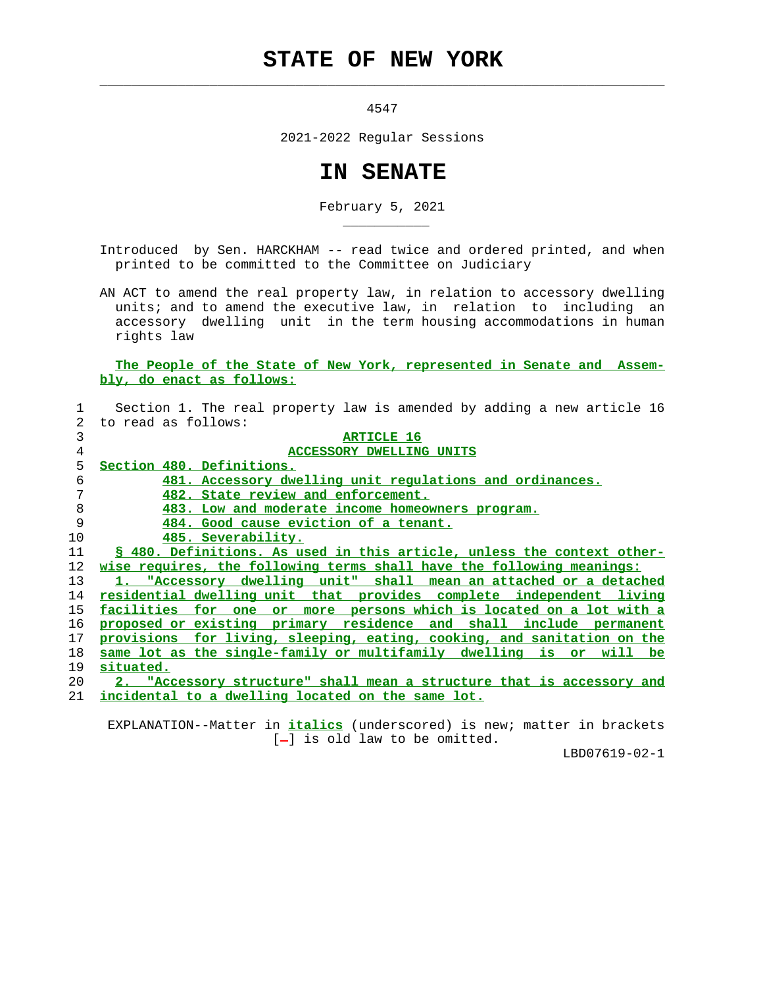## **STATE OF NEW YORK**

 $\mathcal{L}_\text{max} = \frac{1}{2} \sum_{i=1}^{n} \frac{1}{2} \sum_{i=1}^{n} \frac{1}{2} \sum_{i=1}^{n} \frac{1}{2} \sum_{i=1}^{n} \frac{1}{2} \sum_{i=1}^{n} \frac{1}{2} \sum_{i=1}^{n} \frac{1}{2} \sum_{i=1}^{n} \frac{1}{2} \sum_{i=1}^{n} \frac{1}{2} \sum_{i=1}^{n} \frac{1}{2} \sum_{i=1}^{n} \frac{1}{2} \sum_{i=1}^{n} \frac{1}{2} \sum_{i=1}^{n} \frac{1$ 

\_\_\_\_\_\_\_\_\_\_\_

4547

2021-2022 Regular Sessions

## **IN SENATE**

February 5, 2021

 Introduced by Sen. HARCKHAM -- read twice and ordered printed, and when printed to be committed to the Committee on Judiciary

 AN ACT to amend the real property law, in relation to accessory dwelling units; and to amend the executive law, in relation to including an accessory dwelling unit in the term housing accommodations in human rights law

## **The People of the State of New York, represented in Senate and Assem bly, do enact as follows:**

|    | Section 1. The real property law is amended by adding a new article 16       |
|----|------------------------------------------------------------------------------|
| 2  | to read as follows:                                                          |
| 3  | <b>ARTICLE 16</b>                                                            |
| 4  | <b>ACCESSORY DWELLING UNITS</b>                                              |
| 5  | Section 480. Definitions.                                                    |
| 6  | 481. Accessory dwelling unit regulations and ordinances.                     |
| 7  | 482. State review and enforcement.                                           |
| 8  | 483. Low and moderate income homeowners program.                             |
| 9  | 484. Good cause eviction of a tenant.                                        |
| 10 | 485. Severability.                                                           |
| 11 | § 480. Definitions. As used in this article, unless the context other-       |
| 12 | <u>wise requires, the following terms shall have the following meanings:</u> |
| 13 | 1. "Accessory dwelling unit" shall mean an attached or a detached            |
| 14 | residential dwelling unit that provides complete independent living          |
| 15 | facilities for one<br>or more persons which is located on a lot with a       |
| 16 | proposed or existing primary residence and shall include permanent           |
| 17 | provisions for living, sleeping, eating, cooking, and sanitation on the      |
| 18 | same lot as the single-family or multifamily dwelling is or will be          |
| 19 | situated.                                                                    |
| 20 | 2. "Accessory structure" shall mean a structure that is accessory and        |
| 21 | incidental to a dwelling located on the same lot.                            |

 EXPLANATION--Matter in **italics** (underscored) is new; matter in brackets  $[-]$  is old law to be omitted.

LBD07619-02-1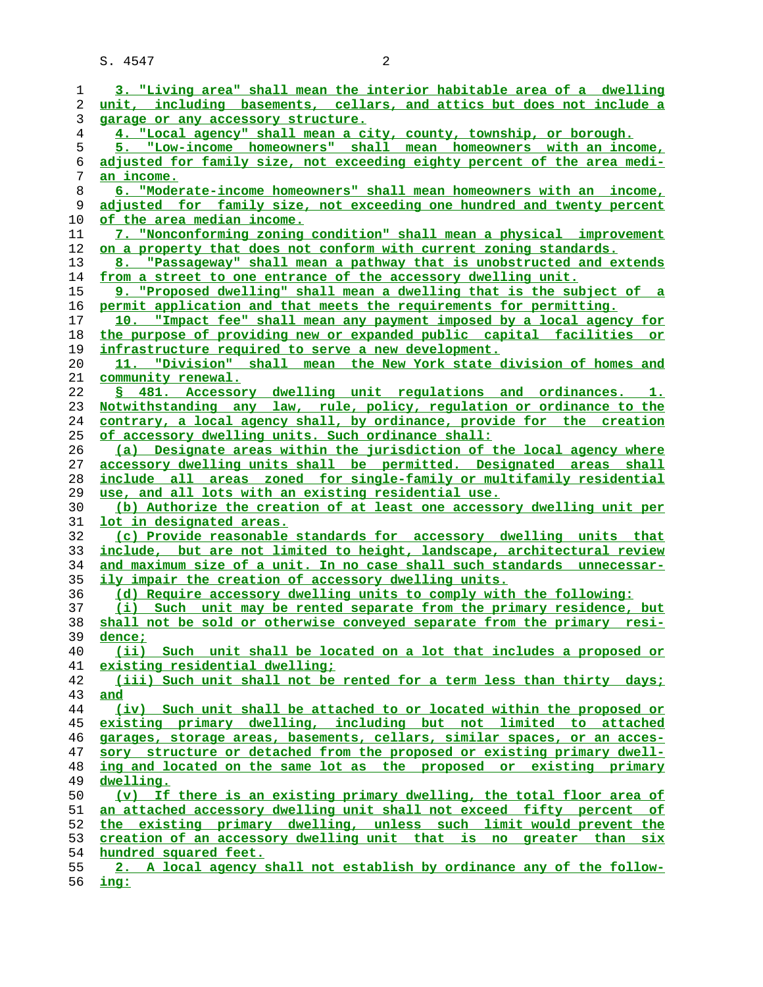| 1              | 3. "Living area" shall mean the interior habitable area of a dwelling    |
|----------------|--------------------------------------------------------------------------|
| 2              | unit, including basements, cellars, and attics but does not include a    |
| 3              | garage or any accessory structure.                                       |
| $\overline{4}$ | 4. "Local agency" shall mean a city, county, township, or borough.       |
| 5              | 5. "Low-income homeowners" shall mean homeowners with an income,         |
|                |                                                                          |
| 6              | adjusted for family size, not exceeding eighty percent of the area medi- |
| 7              | an income.                                                               |
| 8              | 6. "Moderate-income homeowners" shall mean homeowners with an income,    |
| 9              | adjusted for family size, not exceeding one hundred and twenty percent   |
| 10             | <u>of the area median income.</u>                                        |
| 11             | 7. "Nonconforming zoning condition" shall mean a physical improvement    |
| 12             | on a property that does not conform with current zoning standards.       |
|                |                                                                          |
| 13             | 8. "Passageway" shall mean a pathway that is unobstructed and extends    |
| 14             | from a street to one entrance of the accessory dwelling unit.            |
| 15             | 9. "Proposed dwelling" shall mean a dwelling that is the subject of a    |
| 16             | permit application and that meets the requirements for permitting.       |
| 17             | 10. "Impact fee" shall mean any payment imposed by a local agency for    |
| 18             | the purpose of providing new or expanded public capital facilities or    |
|                |                                                                          |
| 19             | <u>infrastructure required to serve a new development.</u>               |
| 20             | 11. "Division" shall mean the New York state division of homes and       |
| 21             | community renewal.                                                       |
| 22             | \$ 481. Accessory dwelling unit regulations and ordinances. 1.           |
| 23             | Notwithstanding any law, rule, policy, regulation or ordinance to the    |
| 24             | contrary, a local agency shall, by ordinance, provide for the creation   |
| 25             | of accessory dwelling units. Such ordinance shall:                       |
| 26             | (a) Designate areas within the jurisdiction of the local agency where    |
|                |                                                                          |
| 27             | accessory dwelling units shall be permitted. Designated areas shall      |
| 28             | include all areas zoned for single-family or multifamily residential     |
| 29             | use, and all lots with an existing residential use.                      |
| 30             | (b) Authorize the creation of at least one accessory dwelling unit per   |
| 31             | <u>lot in designated areas.</u>                                          |
| 32             | (c) Provide reasonable standards for accessory dwelling units that       |
| 33             | include, but are not limited to height, landscape, architectural review  |
| 34             | and maximum size of a unit. In no case shall such standards unnecessar-  |
|                |                                                                          |
| 35             | ily impair the creation of accessory dwelling units.                     |
| 36             | (d) Require accessory dwelling units to comply with the following:       |
| 37             | (i) Such unit may be rented separate from the primary residence, but     |
| 38             | shall not be sold or otherwise conveyed separate from the primary resi-  |
| 39             | dence ;                                                                  |
| 40             | (ii) Such unit shall be located on a lot that includes a proposed or     |
| 41             | existing residential dwelling;                                           |
| 42             | (iii) Such unit shall not be rented for a term less than thirty days;    |
|                |                                                                          |
| 43             | and                                                                      |
| 44             | (iv) Such unit shall be attached to or located within the proposed or    |
| 45             | existing primary dwelling, including but not limited to attached         |
| 46             | garages, storage areas, basements, cellars, similar spaces, or an acces- |
| 47             | sory structure or detached from the proposed or existing primary dwell-  |
| 48             | ing and located on the same lot as the proposed or existing primary      |
| 49             | dwelling.                                                                |
| 50             | (v) If there is an existing primary dwelling, the total floor area of    |
|                |                                                                          |
| 51             | an attached accessory dwelling unit shall not exceed fifty percent of    |
| 52             | the existing primary dwelling, unless such limit would prevent the       |
| 53             | creation of an accessory dwelling unit that is no greater than six       |
| 54             | hundred squared feet.                                                    |
| 55             | 2. A local agency shall not establish by ordinance any of the follow-    |
|                |                                                                          |

**ing:**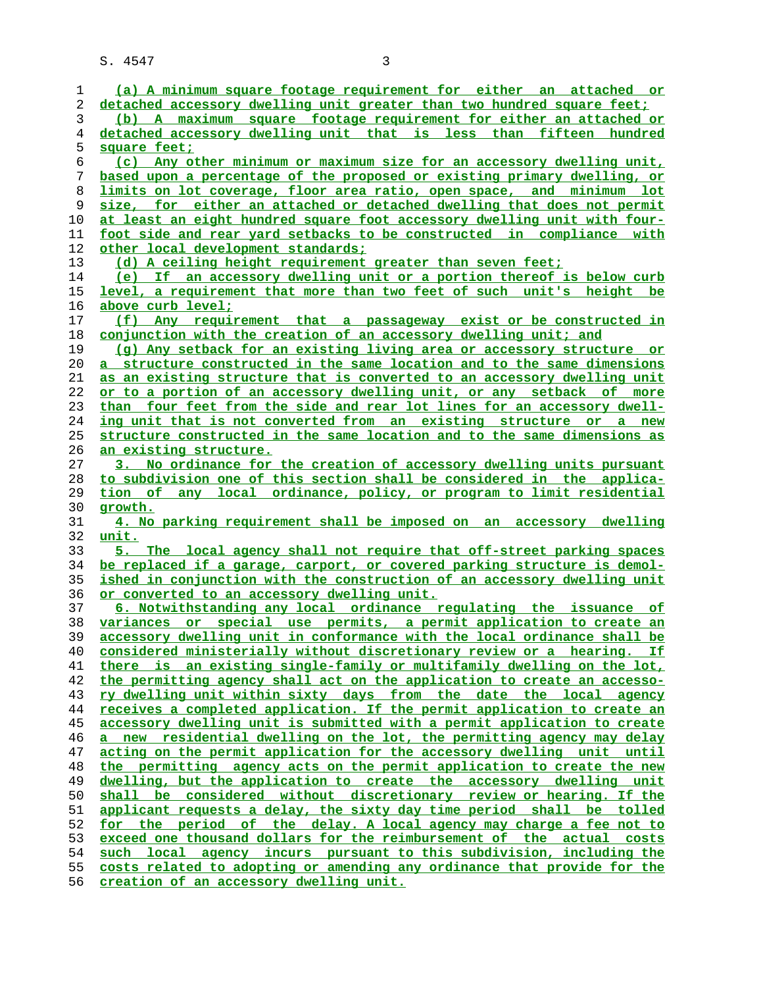**(a) A minimum square footage requirement for either an attached or detached accessory dwelling unit greater than two hundred square feet; (b) A maximum square footage requirement for either an attached or detached accessory dwelling unit that is less than fifteen hundred square feet; (c) Any other minimum or maximum size for an accessory dwelling unit, based upon a percentage of the proposed or existing primary dwelling, or limits on lot coverage, floor area ratio, open space, and minimum lot size, for either an attached or detached dwelling that does not permit at least an eight hundred square foot accessory dwelling unit with four- foot side and rear yard setbacks to be constructed in compliance with other local development standards; (d) A ceiling height requirement greater than seven feet; (e) If an accessory dwelling unit or a portion thereof is below curb level, a requirement that more than two feet of such unit's height be above curb level; (f) Any requirement that a passageway exist or be constructed in conjunction with the creation of an accessory dwelling unit; and (g) Any setback for an existing living area or accessory structure or a structure constructed in the same location and to the same dimensions as an existing structure that is converted to an accessory dwelling unit or to a portion of an accessory dwelling unit, or any setback of more than four feet from the side and rear lot lines for an accessory dwell- ing unit that is not converted from an existing structure or a new structure constructed in the same location and to the same dimensions as an existing structure. 3. No ordinance for the creation of accessory dwelling units pursuant to subdivision one of this section shall be considered in the applica- tion of any local ordinance, policy, or program to limit residential growth. 4. No parking requirement shall be imposed on an accessory dwelling unit. 5. The local agency shall not require that off-street parking spaces be replaced if a garage, carport, or covered parking structure is demol- ished in conjunction with the construction of an accessory dwelling unit or converted to an accessory dwelling unit. 6. Notwithstanding any local ordinance regulating the issuance of variances or special use permits, a permit application to create an accessory dwelling unit in conformance with the local ordinance shall be considered ministerially without discretionary review or a hearing. If there is an existing single-family or multifamily dwelling on the lot, the permitting agency shall act on the application to create an accesso- ry dwelling unit within sixty days from the date the local agency receives a completed application. If the permit application to create an accessory dwelling unit is submitted with a permit application to create a new residential dwelling on the lot, the permitting agency may delay acting on the permit application for the accessory dwelling unit until the permitting agency acts on the permit application to create the new dwelling, but the application to create the accessory dwelling unit shall be considered without discretionary review or hearing. If the applicant requests a delay, the sixty day time period shall be tolled for the period of the delay. A local agency may charge a fee not to exceed one thousand dollars for the reimbursement of the actual costs such local agency incurs pursuant to this subdivision, including the costs related to adopting or amending any ordinance that provide for the creation of an accessory dwelling unit.**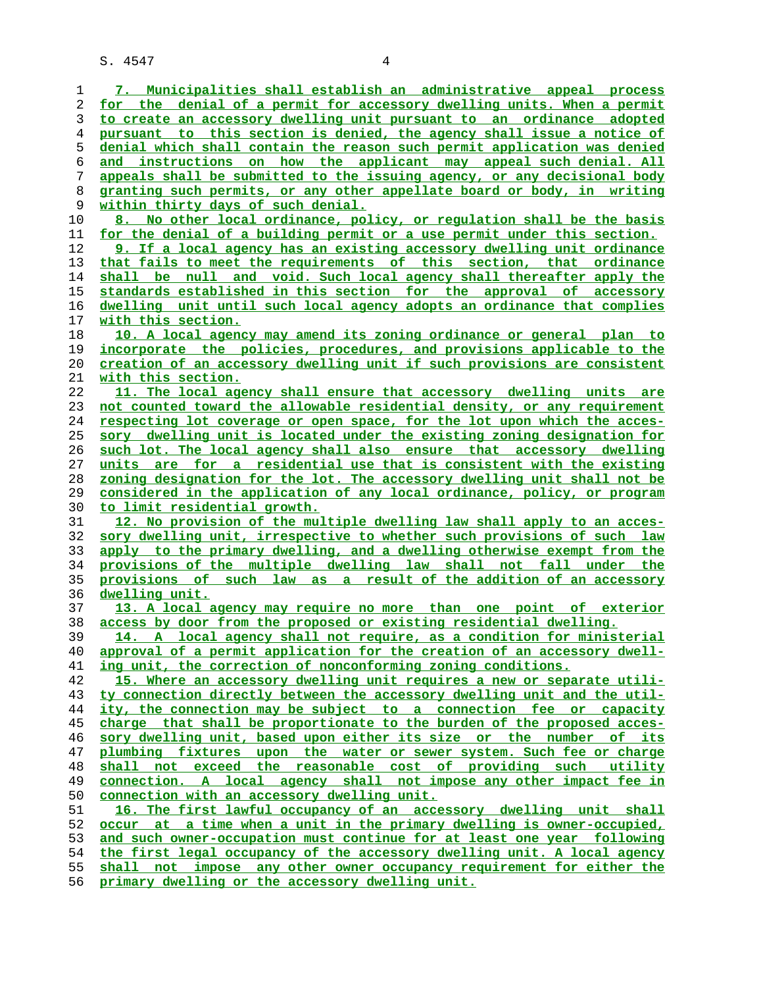| 1        | 7. Municipalities shall establish an administrative appeal process                                                                                 |
|----------|----------------------------------------------------------------------------------------------------------------------------------------------------|
| 2        | for the denial of a permit for accessory dwelling units. When a permit                                                                             |
| 3        | to create an accessory dwelling unit pursuant to an ordinance adopted                                                                              |
| 4        | pursuant to this section is denied, the agency shall issue a notice of                                                                             |
| 5        | denial which shall contain the reason such permit application was denied                                                                           |
| 6        | and instructions on how the applicant may appeal such denial. All                                                                                  |
| 7        | appeals shall be submitted to the issuing agency, or any decisional body                                                                           |
| 8        | granting such permits, or any other appellate board or body, in writing                                                                            |
| 9        | within thirty days of such denial.                                                                                                                 |
| 10       | 8. No other local ordinance, policy, or regulation shall be the basis                                                                              |
| 11       | for the denial of a building permit or a use permit under this section.                                                                            |
| 12       | 9. If a local agency has an existing accessory dwelling unit ordinance                                                                             |
| 13       | that fails to meet the requirements of this section, that ordinance                                                                                |
| 14       | shall be null and void. Such local agency shall thereafter apply the                                                                               |
| 15       | standards established in this section for the approval of accessory                                                                                |
| 16       | dwelling unit until such local agency adopts an ordinance that complies                                                                            |
| 17       | with this section.                                                                                                                                 |
| 18       | 10. A local agency may amend its zoning ordinance or general plan to                                                                               |
| 19       | incorporate the policies, procedures, and provisions applicable to the                                                                             |
| 20       | <u>creation of an accessory dwelling unit if such provisions are consistent</u>                                                                    |
| 21       | with this section.                                                                                                                                 |
| 22       | 11. The local agency shall ensure that accessory dwelling units are                                                                                |
| 23       | not counted toward the allowable residential density, or any requirement                                                                           |
| 24       | respecting lot coverage or open space, for the lot upon which the acces-                                                                           |
| 25       | sory dwelling unit is located under the existing zoning designation for                                                                            |
| 26       | such lot. The local agency shall also ensure that accessory dwelling                                                                               |
| 27       | units are for a residential use that is consistent with the existing                                                                               |
| 28       | zoning designation for the lot. The accessory dwelling unit shall not be                                                                           |
| 29       | considered in the application of any local ordinance, policy, or program                                                                           |
| 30       | <u>to limit residential growth.</u>                                                                                                                |
| 31       | 12. No provision of the multiple dwelling law shall apply to an acces-                                                                             |
| 32<br>33 | sory dwelling unit, irrespective to whether such provisions of such law<br>apply to the primary dwelling, and a dwelling otherwise exempt from the |
| 34       | provisions of the multiple dwelling law shall not fall under the                                                                                   |
| 35       | provisions of such law as a result of the addition of an accessory                                                                                 |
| 36       | dwelling unit.                                                                                                                                     |
| 37       | 13. A local agency may require no more than one point of exterior                                                                                  |
| 38       | access by door from the proposed or existing residential dwelling.                                                                                 |
| 39       | 14. A local agency shall not require, as a condition for ministerial                                                                               |
| 40       | approval of a permit application for the creation of an accessory dwell-                                                                           |
| 41       | ing unit, the correction of nonconforming zoning conditions.                                                                                       |
| 42       | 15. Where an accessory dwelling unit requires a new or separate utili-                                                                             |
| 43       | ty connection directly between the accessory dwelling unit and the util-                                                                           |
| 44       | ity, the connection may be subject to a connection fee or capacity                                                                                 |
| 45       | charge that shall be proportionate to the burden of the proposed acces-                                                                            |
| 46       | sory dwelling unit, based upon either its size or the number of its                                                                                |
| 47       | plumbing fixtures upon the water or sewer system. Such fee or charge                                                                               |
| 48       | shall not exceed the reasonable cost of providing such utility                                                                                     |
| 49       | connection. A local agency shall not impose any other impact fee in                                                                                |
| 50       | connection with an accessory dwelling unit.                                                                                                        |
| 51       | 16. The first lawful occupancy of an accessory dwelling unit shall                                                                                 |
| 52       | occur at a time when a unit in the primary dwelling is owner-occupied,                                                                             |
| 53       | and such owner-occupation must continue for at least one year following                                                                            |
| 54       | the first legal occupancy of the accessory dwelling unit. A local agency                                                                           |
| 55       | shall not impose any other owner occupancy requirement for either the                                                                              |
| 56       | primary dwelling or the accessory dwelling unit.                                                                                                   |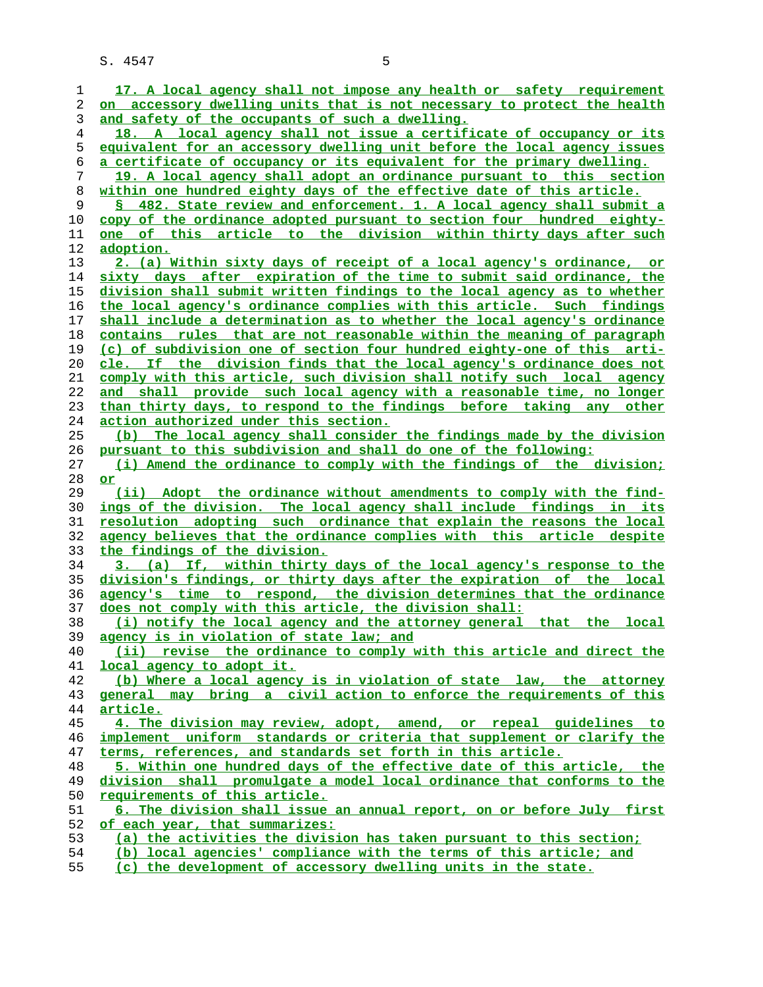|          | 17. A local agency shall not impose any health or safety requirement     |
|----------|--------------------------------------------------------------------------|
| 1        |                                                                          |
| 2        | on accessory dwelling units that is not necessary to protect the health  |
| 3        | and safety of the occupants of such a dwelling.                          |
| 4        | 18. A local agency shall not issue a certificate of occupancy or its     |
| 5        | equivalent for an accessory dwelling unit before the local agency issues |
| 6        | a certificate of occupancy or its equivalent for the primary dwelling.   |
| 7        | 19. A local agency shall adopt an ordinance pursuant to this section     |
| 8        | within one hundred eighty days of the effective date of this article.    |
|          |                                                                          |
| 9        | \$ 482. State review and enforcement. 1. A local agency shall submit a   |
| 10       | copy of the ordinance adopted pursuant to section four hundred eighty-   |
| 11       | <u>one of this article to the division within thirty days after such</u> |
| 12       | <u>adoption.</u>                                                         |
| 13       | 2. (a) Within sixty days of receipt of a local agency's ordinance, or    |
| 14       | sixty days after expiration of the time to submit said ordinance, the    |
| 15       | division shall submit written findings to the local agency as to whether |
| 16       | the local agency's ordinance complies with this article. Such findings   |
| 17       | shall include a determination as to whether the local agency's ordinance |
| 18       | contains rules that are not reasonable within the meaning of paragraph   |
|          | (c) of subdivision one of section four hundred eighty-one of this arti-  |
| 19       |                                                                          |
| 20       | cle. If the division finds that the local agency's ordinance does not    |
| 21       | comply with this article, such division shall notify such local agency   |
| 22       | and shall provide such local agency with a reasonable time, no longer    |
| 23       | than thirty days, to respond to the findings before taking any other     |
| 24       | action authorized under this section.                                    |
| 25       | (b) The local agency shall consider the findings made by the division    |
| 26       | <u>pursuant to this subdivision and shall do one of the following:</u>   |
| 27       | (i) Amend the ordinance to comply with the findings of the division;     |
|          |                                                                          |
| 28       | or                                                                       |
| 29       | (ii) Adopt the ordinance without amendments to comply with the find-     |
| 30       | ings of the division. The local agency shall include findings in its     |
| 31       | resolution adopting such ordinance that explain the reasons the local    |
|          |                                                                          |
| 32       | agency believes that the ordinance complies with this article despite    |
| 33       | the findings of the division.                                            |
| 34       | 3. (a) If, within thirty days of the local agency's response to the      |
| 35       | division's findings, or thirty days after the expiration of the local    |
| 36       | agency's time to respond, the division determines that the ordinance     |
| 37       | does not comply with this article, the division shall:                   |
| 38       | (i) notify the local agency and the attorney general that the local      |
| 39       | agency is in violation of state law; and                                 |
| 40       | (ii) revise the ordinance to comply with this article and direct the     |
| 41       | local agency to adopt it.                                                |
| 42       | (b) Where a local agency is in violation of state law, the attorney      |
| 43       | general may bring a civil action to enforce the requirements of this     |
| 44       | <u>article.</u>                                                          |
| 45       | 4. The division may review, adopt, amend, or repeal quidelines to        |
| 46       | implement uniform standards or criteria that supplement or clarify the   |
| 47       | terms, references, and standards set forth in this article.              |
| 48       | 5. Within one hundred days of the effective date of this article, the    |
| 49       | division shall promulgate a model local ordinance that conforms to the   |
| 50       | requirements of this article.                                            |
| 51       | 6. The division shall issue an annual report, on or before July first    |
| 52       | of each year, that summarizes:                                           |
| 53<br>54 | (a) the activities the division has taken pursuant to this section;      |

**(c) the development of accessory dwelling units in the state.**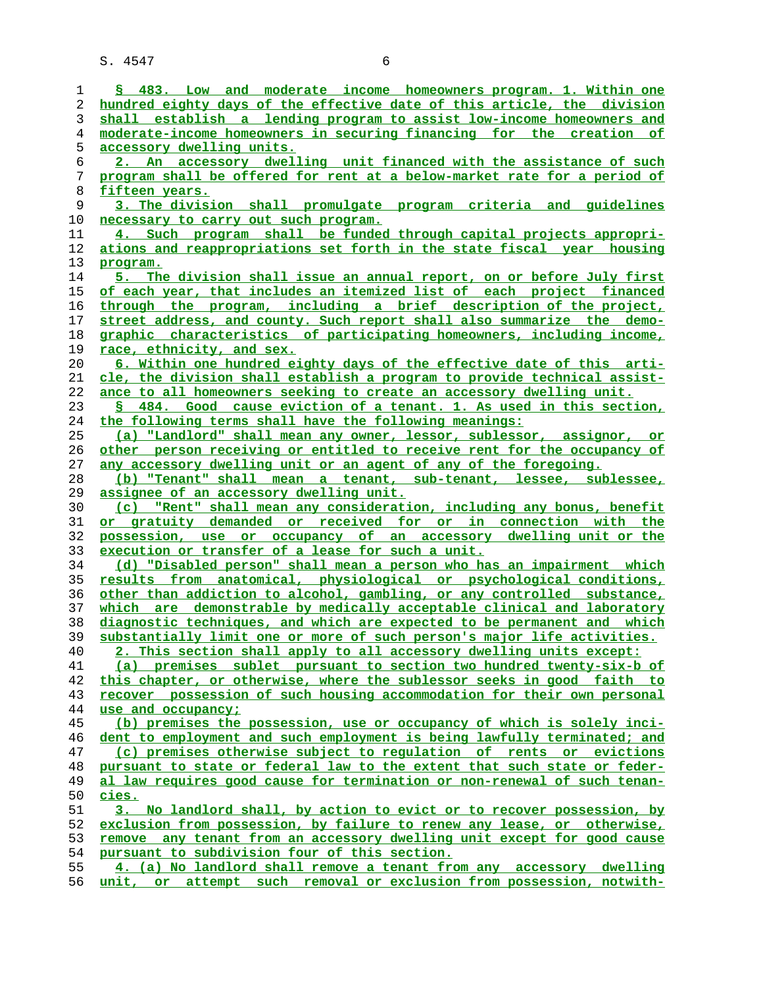**§ 483. Low and moderate income homeowners program. 1. Within one hundred eighty days of the effective date of this article, the division shall establish a lending program to assist low-income homeowners and moderate-income homeowners in securing financing for the creation of accessory dwelling units. 2. An accessory dwelling unit financed with the assistance of such program shall be offered for rent at a below-market rate for a period of fifteen years. 3. The division shall promulgate program criteria and guidelines necessary to carry out such program. 4. Such program shall be funded through capital projects appropri- ations and reappropriations set forth in the state fiscal year housing program. 5. The division shall issue an annual report, on or before July first of each year, that includes an itemized list of each project financed through the program, including a brief description of the project, street address, and county. Such report shall also summarize the demo- graphic characteristics of participating homeowners, including income, race, ethnicity, and sex. 6. Within one hundred eighty days of the effective date of this arti- cle, the division shall establish a program to provide technical assist- ance to all homeowners seeking to create an accessory dwelling unit. § 484. Good cause eviction of a tenant. 1. As used in this section, the following terms shall have the following meanings: (a) "Landlord" shall mean any owner, lessor, sublessor, assignor, or other person receiving or entitled to receive rent for the occupancy of any accessory dwelling unit or an agent of any of the foregoing. (b) "Tenant" shall mean a tenant, sub-tenant, lessee, sublessee, assignee of an accessory dwelling unit. (c) "Rent" shall mean any consideration, including any bonus, benefit or gratuity demanded or received for or in connection with the possession, use or occupancy of an accessory dwelling unit or the execution or transfer of a lease for such a unit. (d) "Disabled person" shall mean a person who has an impairment which results from anatomical, physiological or psychological conditions, other than addiction to alcohol, gambling, or any controlled substance, which are demonstrable by medically acceptable clinical and laboratory diagnostic techniques, and which are expected to be permanent and which substantially limit one or more of such person's major life activities. 2. This section shall apply to all accessory dwelling units except: (a) premises sublet pursuant to section two hundred twenty-six-b of this chapter, or otherwise, where the sublessor seeks in good faith to recover possession of such housing accommodation for their own personal use and occupancy; (b) premises the possession, use or occupancy of which is solely inci- dent to employment and such employment is being lawfully terminated; and (c) premises otherwise subject to regulation of rents or evictions pursuant to state or federal law to the extent that such state or feder- al law requires good cause for termination or non-renewal of such tenan- cies. 3. No landlord shall, by action to evict or to recover possession, by exclusion from possession, by failure to renew any lease, or otherwise, remove any tenant from an accessory dwelling unit except for good cause pursuant to subdivision four of this section. 4. (a) No landlord shall remove a tenant from any accessory dwelling unit, or attempt such removal or exclusion from possession, notwith-**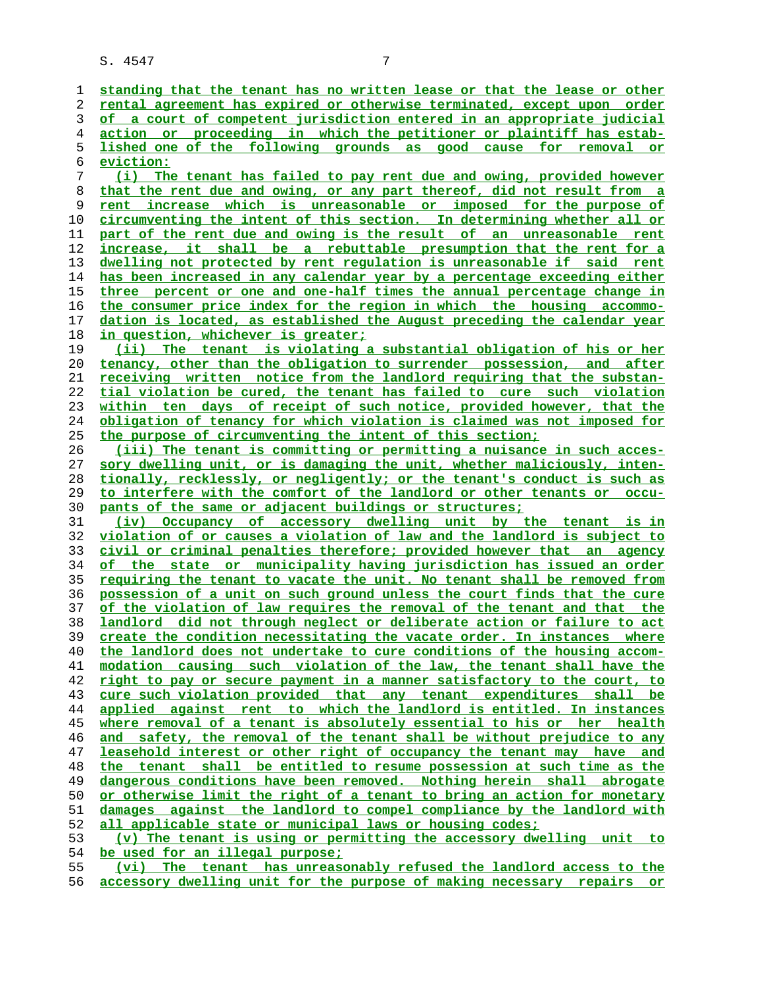**standing that the tenant has no written lease or that the lease or other rental agreement has expired or otherwise terminated, except upon order of a court of competent jurisdiction entered in an appropriate judicial action or proceeding in which the petitioner or plaintiff has estab- lished one of the following grounds as good cause for removal or eviction: (i) The tenant has failed to pay rent due and owing, provided however that the rent due and owing, or any part thereof, did not result from a rent increase which is unreasonable or imposed for the purpose of circumventing the intent of this section. In determining whether all or part of the rent due and owing is the result of an unreasonable rent increase, it shall be a rebuttable presumption that the rent for a dwelling not protected by rent regulation is unreasonable if said rent has been increased in any calendar year by a percentage exceeding either three percent or one and one-half times the annual percentage change in the consumer price index for the region in which the housing accommo- dation is located, as established the August preceding the calendar year in question, whichever is greater; (ii) The tenant is violating a substantial obligation of his or her tenancy, other than the obligation to surrender possession, and after receiving written notice from the landlord requiring that the substan- tial violation be cured, the tenant has failed to cure such violation within ten days of receipt of such notice, provided however, that the obligation of tenancy for which violation is claimed was not imposed for the purpose of circumventing the intent of this section; (iii) The tenant is committing or permitting a nuisance in such acces- sory dwelling unit, or is damaging the unit, whether maliciously, inten- tionally, recklessly, or negligently; or the tenant's conduct is such as to interfere with the comfort of the landlord or other tenants or occu- pants of the same or adjacent buildings or structures; (iv) Occupancy of accessory dwelling unit by the tenant is in violation of or causes a violation of law and the landlord is subject to civil or criminal penalties therefore; provided however that an agency of the state or municipality having jurisdiction has issued an order requiring the tenant to vacate the unit. No tenant shall be removed from possession of a unit on such ground unless the court finds that the cure of the violation of law requires the removal of the tenant and that the landlord did not through neglect or deliberate action or failure to act create the condition necessitating the vacate order. In instances where the landlord does not undertake to cure conditions of the housing accom- modation causing such violation of the law, the tenant shall have the right to pay or secure payment in a manner satisfactory to the court, to cure such violation provided that any tenant expenditures shall be applied against rent to which the landlord is entitled. In instances where removal of a tenant is absolutely essential to his or her health and safety, the removal of the tenant shall be without prejudice to any leasehold interest or other right of occupancy the tenant may have and the tenant shall be entitled to resume possession at such time as the dangerous conditions have been removed. Nothing herein shall abrogate or otherwise limit the right of a tenant to bring an action for monetary damages against the landlord to compel compliance by the landlord with all applicable state or municipal laws or housing codes; (v) The tenant is using or permitting the accessory dwelling unit to be used for an illegal purpose; (vi) The tenant has unreasonably refused the landlord access to the**

**accessory dwelling unit for the purpose of making necessary repairs or**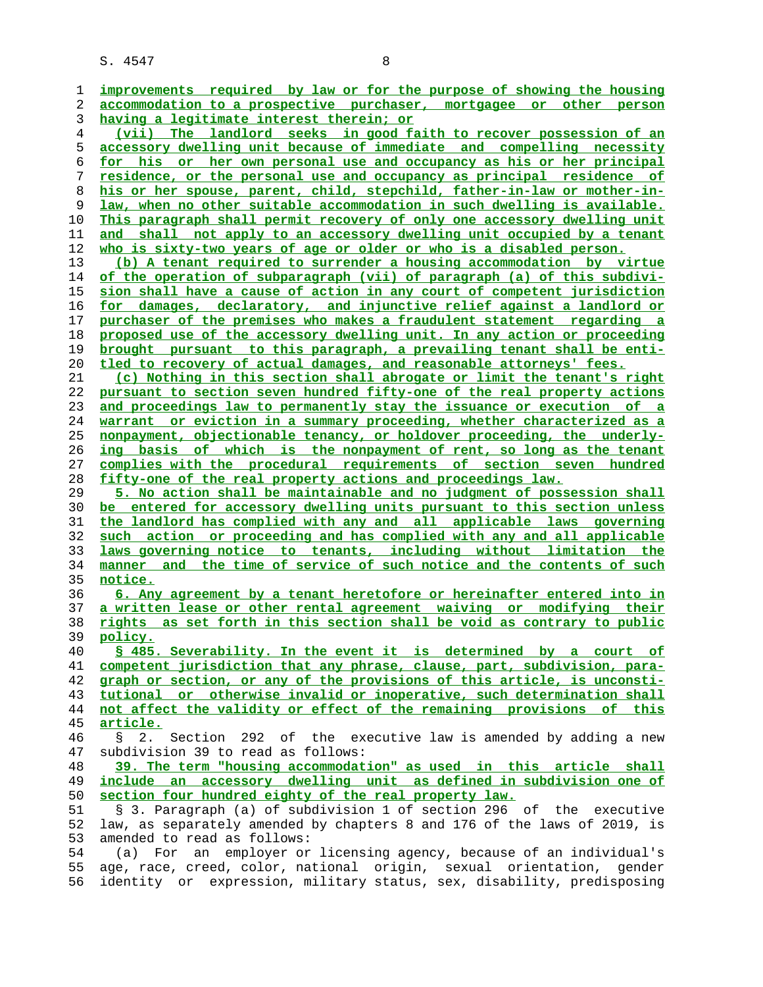| 1<br>2         |                                                                                                                                                |
|----------------|------------------------------------------------------------------------------------------------------------------------------------------------|
|                | improvements required by law or for the purpose of showing the housing                                                                         |
|                | accommodation to a prospective purchaser, mortgagee or other person                                                                            |
| 3              | having a legitimate interest therein; or                                                                                                       |
| $\overline{4}$ | (vii) The landlord seeks in good faith to recover possession of an                                                                             |
| 5              | accessory dwelling unit because of immediate and compelling necessity                                                                          |
| 6              | for his or her own personal use and occupancy as his or her principal                                                                          |
| 7              | residence, or the personal use and occupancy as principal residence of                                                                         |
| 8              | his or her spouse, parent, child, stepchild, father-in-law or mother-in-                                                                       |
| 9              |                                                                                                                                                |
|                | law, when no other suitable accommodation in such dwelling is available.                                                                       |
| 10             | This paragraph shall permit recovery of only one accessory dwelling unit                                                                       |
| 11             | and shall not apply to an accessory dwelling unit occupied by a tenant                                                                         |
| 12             | who is sixty-two years of age or older or who is a disabled person.                                                                            |
| 13             | (b) A tenant required to surrender a housing accommodation by virtue                                                                           |
| 14             | of the operation of subparagraph (vii) of paragraph (a) of this subdivi-                                                                       |
| 15             | sion shall have a cause of action in any court of competent jurisdiction                                                                       |
| 16             | for damages, declaratory, and injunctive relief against a landlord or                                                                          |
| 17             | purchaser of the premises who makes a fraudulent statement regarding a                                                                         |
| 18             | proposed use of the accessory dwelling unit. In any action or proceeding                                                                       |
| 19             | brought pursuant to this paragraph, a prevailing tenant shall be enti-                                                                         |
| 20             | tled to recovery of actual damages, and reasonable attorneys' fees.                                                                            |
|                |                                                                                                                                                |
| 21             | (c) Nothing in this section shall abrogate or limit the tenant's right                                                                         |
| 22             | pursuant to section seven hundred fifty-one of the real property actions                                                                       |
| 23             | and proceedings law to permanently stay the issuance or execution of a                                                                         |
| 24             | warrant or eviction in a summary proceeding, whether characterized as a                                                                        |
| 25             | nonpayment, objectionable tenancy, or holdover proceeding, the underly-                                                                        |
| 26             | ing basis of which is the nonpayment of rent, so long as the tenant                                                                            |
| 27             | complies with the procedural requirements of section seven hundred                                                                             |
| 28             | fifty-one of the real property actions and proceedings law.                                                                                    |
| 29             | 5. No action shall be maintainable and no judgment of possession shall                                                                         |
| 30             | be entered for accessory dwelling units pursuant to this section unless                                                                        |
| 31             | the landlord has complied with any and all applicable laws governing                                                                           |
|                |                                                                                                                                                |
|                |                                                                                                                                                |
| 32             | such action or proceeding and has complied with any and all applicable                                                                         |
| 33             | laws governing notice to tenants, including without limitation the                                                                             |
| 34             | manner and the time of service of such notice and the contents of such                                                                         |
| 35             | notice.                                                                                                                                        |
| 36             | 6. Any agreement by a tenant heretofore or hereinafter entered into in                                                                         |
| 37             | a written lease or other rental agreement waiving or modifying their                                                                           |
| 38             | as set forth in this section shall be void as contrary to public<br>rights                                                                     |
| 39             | policy.                                                                                                                                        |
| 40             | \$ 485. Severability. In the event it is determined by a court of                                                                              |
| 41             | competent jurisdiction that any phrase, clause, part, subdivision, para-                                                                       |
| 42             | graph or section, or any of the provisions of this article, is unconsti-                                                                       |
| 43             | tutional or otherwise invalid or inoperative, such determination shall                                                                         |
| 44             | not affect the validity or effect of the remaining provisions of this                                                                          |
| 45             | article.                                                                                                                                       |
| 46             | 2.<br>$\mathbb{S}$                                                                                                                             |
|                | Section 292 of the executive law is amended by adding a new                                                                                    |
| 47             | subdivision 39 to read as follows:                                                                                                             |
| 48             | 39. The term "housing accommodation" as used in this article shall                                                                             |
| 49             | include an accessory dwelling unit as defined in subdivision one of                                                                            |
| 50             | section four hundred eighty of the real property law.                                                                                          |
| 51             | § 3. Paragraph (a) of subdivision 1 of section 296 of the executive                                                                            |
| 52             | law, as separately amended by chapters 8 and 176 of the laws of 2019, is                                                                       |
| 53             | amended to read as follows:                                                                                                                    |
| 54             | employer or licensing agency, because of an individual's<br>For<br>(a)<br>an                                                                   |
| 55<br>56       | age, race, creed, color, national origin, sexual orientation, gender<br>identity or expression, military status, sex, disability, predisposing |